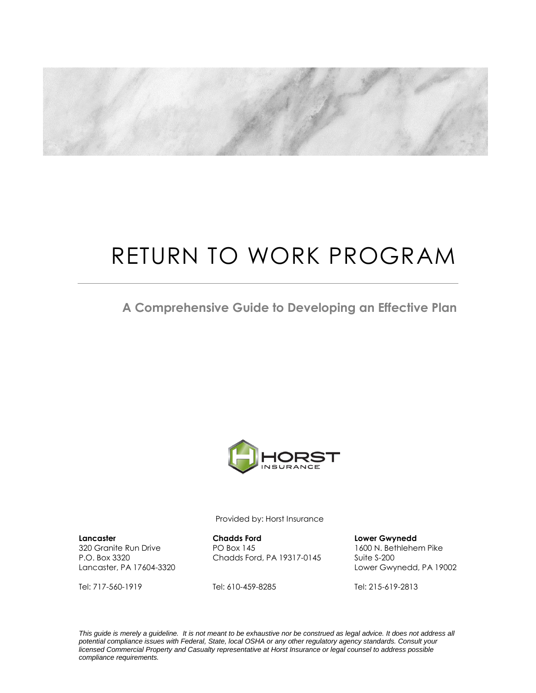

# RETURN TO WORK PROGRAM

**A Comprehensive Guide to Developing an Effective Plan**



Provided by: Horst Insurance

**Lancaster Chadds Ford Lower Gwynedd** P.O. Box 3320 Chadds Ford, PA 19317-0145 Suite S-200

Tel: 717-560-1919 Tel: 610-459-8285 Tel: 215-619-2813

320 Granite Run Drive PO Box 145 1600 N. Bethlehem Pike Lancaster, PA 17604-3320 Lower Gwynedd, PA 19002

*This guide is merely a guideline. It is not meant to be exhaustive nor be construed as legal advice. It does not address all potential compliance issues with Federal, State, local OSHA or any other regulatory agency standards. Consult your licensed Commercial Property and Casualty representative at Horst Insurance or legal counsel to address possible compliance requirements.*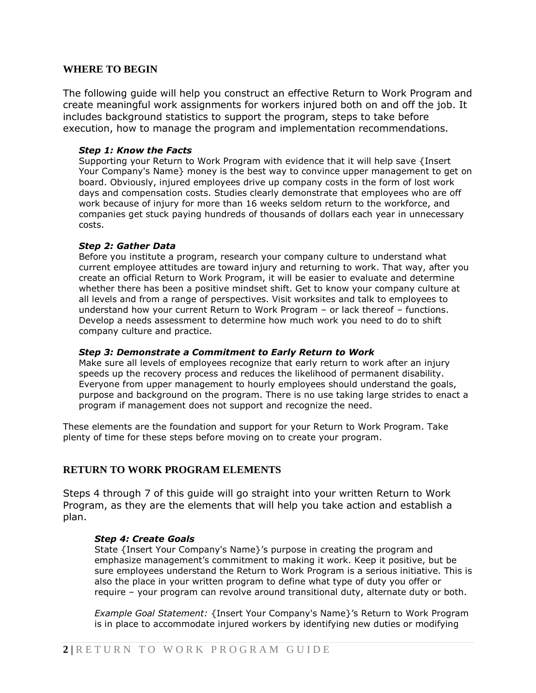## **WHERE TO BEGIN**

The following guide will help you construct an effective Return to Work Program and create meaningful work assignments for workers injured both on and off the job. It includes background statistics to support the program, steps to take before execution, how to manage the program and implementation recommendations.

#### *Step 1: Know the Facts*

Supporting your Return to Work Program with evidence that it will help save {Insert Your Company's Name} money is the best way to convince upper management to get on board. Obviously, injured employees drive up company costs in the form of lost work days and compensation costs. Studies clearly demonstrate that employees who are off work because of injury for more than 16 weeks seldom return to the workforce, and companies get stuck paying hundreds of thousands of dollars each year in unnecessary costs.

#### *Step 2: Gather Data*

Before you institute a program, research your company culture to understand what current employee attitudes are toward injury and returning to work. That way, after you create an official Return to Work Program, it will be easier to evaluate and determine whether there has been a positive mindset shift. Get to know your company culture at all levels and from a range of perspectives. Visit worksites and talk to employees to understand how your current Return to Work Program – or lack thereof – functions. Develop a needs assessment to determine how much work you need to do to shift company culture and practice.

## *Step 3: Demonstrate a Commitment to Early Return to Work*

Make sure all levels of employees recognize that early return to work after an injury speeds up the recovery process and reduces the likelihood of permanent disability. Everyone from upper management to hourly employees should understand the goals, purpose and background on the program. There is no use taking large strides to enact a program if management does not support and recognize the need.

These elements are the foundation and support for your Return to Work Program. Take plenty of time for these steps before moving on to create your program.

## **RETURN TO WORK PROGRAM ELEMENTS**

Steps 4 through 7 of this guide will go straight into your written Return to Work Program, as they are the elements that will help you take action and establish a plan.

#### *Step 4: Create Goals*

State {Insert Your Company's Name}'s purpose in creating the program and emphasize management's commitment to making it work. Keep it positive, but be sure employees understand the Return to Work Program is a serious initiative. This is also the place in your written program to define what type of duty you offer or require – your program can revolve around transitional duty, alternate duty or both.

*Example Goal Statement:* {Insert Your Company's Name}'s Return to Work Program is in place to accommodate injured workers by identifying new duties or modifying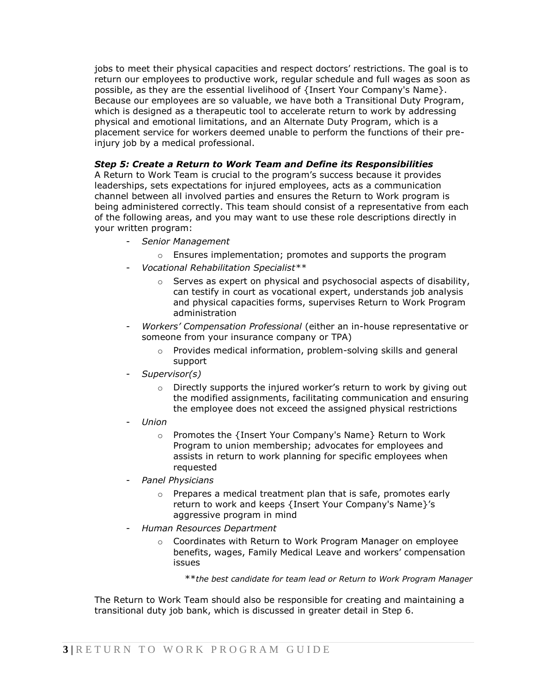jobs to meet their physical capacities and respect doctors' restrictions. The goal is to return our employees to productive work, regular schedule and full wages as soon as possible, as they are the essential livelihood of {Insert Your Company's Name}. Because our employees are so valuable, we have both a Transitional Duty Program, which is designed as a therapeutic tool to accelerate return to work by addressing physical and emotional limitations, and an Alternate Duty Program, which is a placement service for workers deemed unable to perform the functions of their preinjury job by a medical professional.

## *Step 5: Create a Return to Work Team and Define its Responsibilities*

A Return to Work Team is crucial to the program's success because it provides leaderships, sets expectations for injured employees, acts as a communication channel between all involved parties and ensures the Return to Work program is being administered correctly. This team should consist of a representative from each of the following areas, and you may want to use these role descriptions directly in your written program:

- *Senior Management*
	- o Ensures implementation; promotes and supports the program
- *Vocational Rehabilitation Specialist\*\**
	- $\circ$  Serves as expert on physical and psychosocial aspects of disability, can testify in court as vocational expert, understands job analysis and physical capacities forms, supervises Return to Work Program administration
- *Workers' Compensation Professional* (either an in-house representative or someone from your insurance company or TPA)
	- o Provides medical information, problem-solving skills and general support
- *Supervisor(s)*
	- $\circ$  Directly supports the injured worker's return to work by giving out the modified assignments, facilitating communication and ensuring the employee does not exceed the assigned physical restrictions
- *Union*
	- o Promotes the {Insert Your Company's Name} Return to Work Program to union membership; advocates for employees and assists in return to work planning for specific employees when requested
- *Panel Physicians*
	- o Prepares a medical treatment plan that is safe, promotes early return to work and keeps {Insert Your Company's Name}'s aggressive program in mind
- *Human Resources Department*
	- o Coordinates with Return to Work Program Manager on employee benefits, wages, Family Medical Leave and workers' compensation issues

\*\**the best candidate for team lead or Return to Work Program Manager*

The Return to Work Team should also be responsible for creating and maintaining a transitional duty job bank, which is discussed in greater detail in Step 6.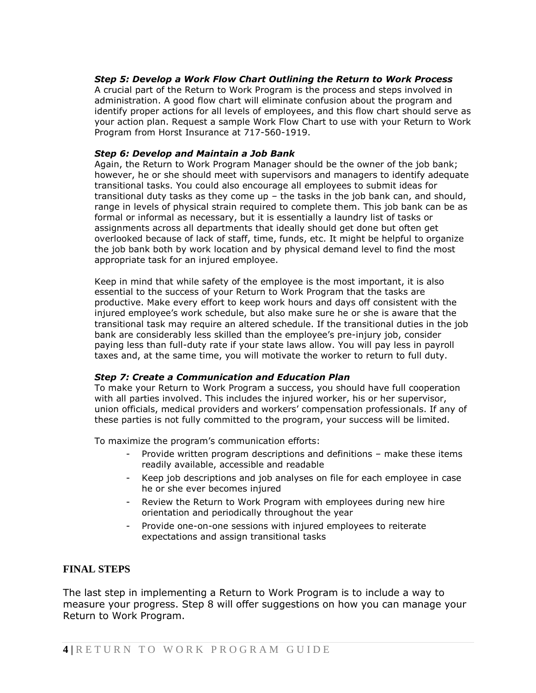## *Step 5: Develop a Work Flow Chart Outlining the Return to Work Process*

A crucial part of the Return to Work Program is the process and steps involved in administration. A good flow chart will eliminate confusion about the program and identify proper actions for all levels of employees, and this flow chart should serve as your action plan. Request a sample Work Flow Chart to use with your Return to Work Program from Horst Insurance at 717-560-1919.

#### *Step 6: Develop and Maintain a Job Bank*

Again, the Return to Work Program Manager should be the owner of the job bank; however, he or she should meet with supervisors and managers to identify adequate transitional tasks. You could also encourage all employees to submit ideas for transitional duty tasks as they come up – the tasks in the job bank can, and should, range in levels of physical strain required to complete them. This job bank can be as formal or informal as necessary, but it is essentially a laundry list of tasks or assignments across all departments that ideally should get done but often get overlooked because of lack of staff, time, funds, etc. It might be helpful to organize the job bank both by work location and by physical demand level to find the most appropriate task for an injured employee.

Keep in mind that while safety of the employee is the most important, it is also essential to the success of your Return to Work Program that the tasks are productive. Make every effort to keep work hours and days off consistent with the injured employee's work schedule, but also make sure he or she is aware that the transitional task may require an altered schedule. If the transitional duties in the job bank are considerably less skilled than the employee's pre-injury job, consider paying less than full-duty rate if your state laws allow. You will pay less in payroll taxes and, at the same time, you will motivate the worker to return to full duty.

#### *Step 7: Create a Communication and Education Plan*

To make your Return to Work Program a success, you should have full cooperation with all parties involved. This includes the injured worker, his or her supervisor, union officials, medical providers and workers' compensation professionals. If any of these parties is not fully committed to the program, your success will be limited.

To maximize the program's communication efforts:

- Provide written program descriptions and definitions make these items readily available, accessible and readable
- Keep job descriptions and job analyses on file for each employee in case he or she ever becomes injured
- Review the Return to Work Program with employees during new hire orientation and periodically throughout the year
- Provide one-on-one sessions with injured employees to reiterate expectations and assign transitional tasks

## **FINAL STEPS**

The last step in implementing a Return to Work Program is to include a way to measure your progress. Step 8 will offer suggestions on how you can manage your Return to Work Program.